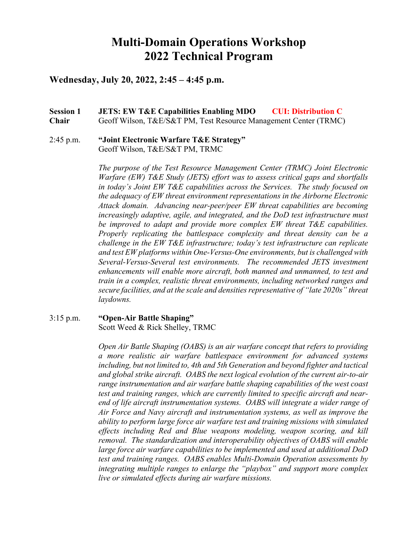# **Multi-Domain Operations Workshop 2022 Technical Program**

# **Wednesday, July 20, 2022, 2:45 – 4:45 p.m.**

# **Session 1 JETS: EW T&E Capabilities Enabling MDO CUI: Distribution C Chair** Geoff Wilson, T&E/S&T PM, Test Resource Management Center (TRMC)

## 2:45 p.m. **"Joint Electronic Warfare T&E Strategy"** Geoff Wilson, T&E/S&T PM, TRMC

*The purpose of the Test Resource Management Center (TRMC) Joint Electronic Warfare (EW) T&E Study (JETS) effort was to assess critical gaps and shortfalls in today's Joint EW T&E capabilities across the Services. The study focused on the adequacy of EW threat environment representations in the Airborne Electronic Attack domain. Advancing near-peer/peer EW threat capabilities are becoming increasingly adaptive, agile, and integrated, and the DoD test infrastructure must be improved to adapt and provide more complex EW threat T&E capabilities. Properly replicating the battlespace complexity and threat density can be a challenge in the EW T&E infrastructure; today's test infrastructure can replicate and test EW platforms within One-Versus-One environments, but is challenged with Several-Versus-Several test environments. The recommended JETS investment enhancements will enable more aircraft, both manned and unmanned, to test and train in a complex, realistic threat environments, including networked ranges and secure facilities, and at the scale and densities representative of "late 2020s" threat laydowns.* 

## 3:15 p.m. **"Open-Air Battle Shaping"** Scott Weed & Rick Shelley, TRMC

*Open Air Battle Shaping (OABS) is an air warfare concept that refers to providing a more realistic air warfare battlespace environment for advanced systems including, but not limited to, 4th and 5th Generation and beyond fighter and tactical and global strike aircraft. OABS the next logical evolution of the current air-to-air range instrumentation and air warfare battle shaping capabilities of the west coast test and training ranges, which are currently limited to specific aircraft and nearend of life aircraft instrumentation systems. OABS will integrate a wider range of Air Force and Navy aircraft and instrumentation systems, as well as improve the ability to perform large force air warfare test and training missions with simulated effects including Red and Blue weapons modeling, weapon scoring, and kill removal. The standardization and interoperability objectives of OABS will enable large force air warfare capabilities to be implemented and used at additional DoD test and training ranges. OABS enables Multi-Domain Operation assessments by integrating multiple ranges to enlarge the "playbox" and support more complex live or simulated effects during air warfare missions.*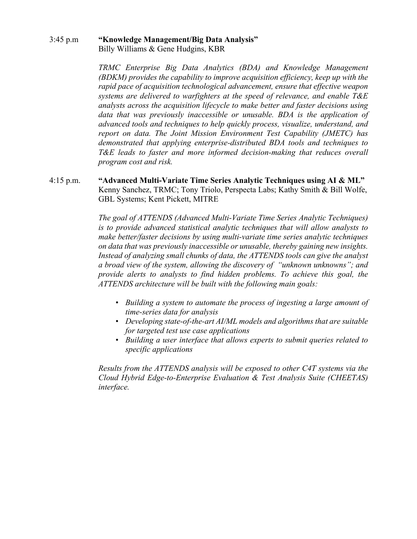## 3:45 p.m **"Knowledge Management/Big Data Analysis"** Billy Williams & Gene Hudgins, KBR

*TRMC Enterprise Big Data Analytics (BDA) and Knowledge Management (BDKM) provides the capability to improve acquisition efficiency, keep up with the rapid pace of acquisition technological advancement, ensure that effective weapon systems are delivered to warfighters at the speed of relevance, and enable T&E analysts across the acquisition lifecycle to make better and faster decisions using data that was previously inaccessible or unusable. BDA is the application of advanced tools and techniques to help quickly process, visualize, understand, and report on data. The Joint Mission Environment Test Capability (JMETC) has demonstrated that applying enterprise-distributed BDA tools and techniques to T&E leads to faster and more informed decision-making that reduces overall program cost and risk.*

# 4:15 p.m. **"Advanced Multi-Variate Time Series Analytic Techniques using AI & ML"** Kenny Sanchez, TRMC; Tony Triolo, Perspecta Labs; Kathy Smith & Bill Wolfe, GBL Systems; Kent Pickett, MITRE

*The goal of ATTENDS (Advanced Multi-Variate Time Series Analytic Techniques) is to provide advanced statistical analytic techniques that will allow analysts to make better/faster decisions by using multi-variate time series analytic techniques on data that was previously inaccessible or unusable, thereby gaining new insights. Instead of analyzing small chunks of data, the ATTENDS tools can give the analyst a broad view of the system, allowing the discovery of "unknown unknowns"; and provide alerts to analysts to find hidden problems. To achieve this goal, the ATTENDS architecture will be built with the following main goals:*

- *Building a system to automate the process of ingesting a large amount of time-series data for analysis*
- *Developing state-of-the-art AI/ML models and algorithms that are suitable for targeted test use case applications*
- *Building a user interface that allows experts to submit queries related to specific applications*

*Results from the ATTENDS analysis will be exposed to other C4T systems via the Cloud Hybrid Edge-to-Enterprise Evaluation & Test Analysis Suite (CHEETAS) interface.*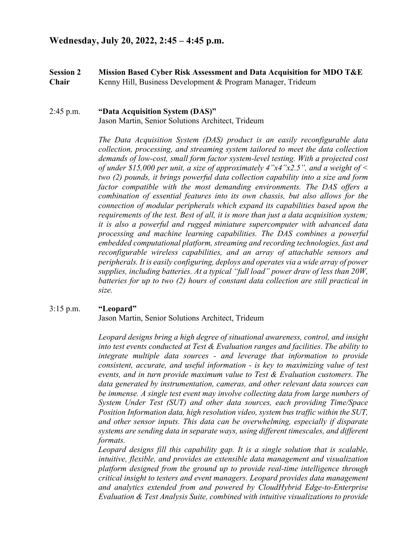**Session 2 Mission Based Cyber Risk Assessment and Data Acquisition for MDO T&E Chair** Kenny Hill, Business Development & Program Manager, Trideum

## 2:45 p.m. **"Data Acquisition System (DAS)"** Jason Martin, Senior Solutions Architect, Trideum

*The Data Acquisition System (DAS) product is an easily reconfigurable data collection, processing, and streaming system tailored to meet the data collection demands of low-cost, small form factor system-level testing. With a projected cost of under \$15,000 per unit, a size of approximately 4"x4"x2.5", and a weight of < two (2) pounds, it brings powerful data collection capability into a size and form*  factor compatible with the most demanding environments. The DAS offers a *combination of essential features into its own chassis, but also allows for the connection of modular peripherals which expand its capabilities based upon the requirements of the test. Best of all, it is more than just a data acquisition system; it is also a powerful and rugged miniature supercomputer with advanced data processing and machine learning capabilities. The DAS combines a powerful embedded computational platform, streaming and recording technologies, fast and reconfigurable wireless capabilities, and an array of attachable sensors and peripherals. It is easily configuring, deploys and operates via a wide array of power supplies, including batteries. At a typical "full load" power draw of less than 20W, batteries for up to two (2) hours of constant data collection are still practical in size.*

## 3:15 p.m. **"Leopard"**

Jason Martin, Senior Solutions Architect, Trideum

*Leopard designs bring a high degree of situational awareness, control, and insight into test events conducted at Test & Evaluation ranges and facilities. The ability to integrate multiple data sources - and leverage that information to provide consistent, accurate, and useful information - is key to maximizing value of test events, and in turn provide maximum value to Test & Evaluation customers. The data generated by instrumentation, cameras, and other relevant data sources can be immense. A single test event may involve collecting data from large numbers of System Under Test (SUT) and other data sources, each providing Time/Space Position Information data, high resolution video, system bus traffic within the SUT, and other sensor inputs. This data can be overwhelming, especially if disparate systems are sending data in separate ways, using different timescales, and different formats.*

Leopard designs fill this capability gap. It is a single solution that is scalable, *intuitive, flexible, and provides an extensible data management and visualization platform designed from the ground up to provide real-time intelligence through critical insight to testers and event managers. Leopard provides data management and analytics extended from and powered by CloudHybrid Edge-to-Enterprise Evaluation & Test Analysis Suite, combined with intuitive visualizations to provide*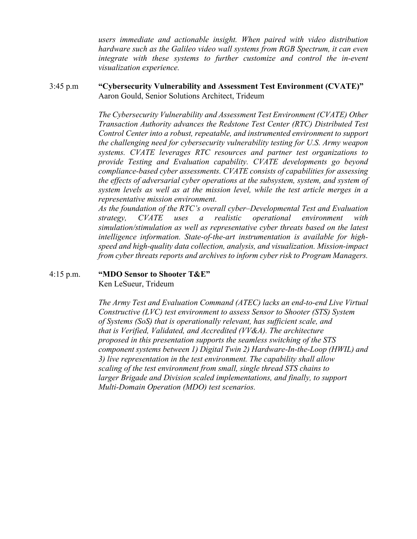*users immediate and actionable insight. When paired with video distribution hardware such as the Galileo video wall systems from RGB Spectrum, it can even integrate with these systems to further customize and control the in-event visualization experience.*

## 3:45 p.m **"Cybersecurity Vulnerability and Assessment Test Environment (CVATE)"** Aaron Gould, Senior Solutions Architect, Trideum

*The Cybersecurity Vulnerability and Assessment Test Environment (CVATE) Other Transaction Authority advances the Redstone Test Center (RTC) Distributed Test Control Center into a robust, repeatable, and instrumented environment to support the challenging need for cybersecurity vulnerability testing for U.S. Army weapon systems. CVATE leverages RTC resources and partner test organizations to provide Testing and Evaluation capability. CVATE developments go beyond compliance-based cyber assessments. CVATE consists of capabilities for assessing the effects of adversarial cyber operations at the subsystem, system, and system of system levels as well as at the mission level, while the test article merges in a representative mission environment.*

*As the foundation of the RTC's overall cyber–Developmental Test and Evaluation strategy, CVATE uses a realistic operational environment with simulation/stimulation as well as representative cyber threats based on the latest intelligence information. State-of-the-art instrumentation is available for highspeed and high-quality data collection, analysis, and visualization. Mission-impact from cyber threats reports and archives to inform cyber risk to Program Managers.*

## 4:15 p.m. **"MDO Sensor to Shooter T&E"**

Ken LeSueur, Trideum

*The Army Test and Evaluation Command (ATEC) lacks an end-to-end Live Virtual Constructive (LVC) test environment to assess Sensor to Shooter (STS) System of Systems (SoS) that is operationally relevant, has sufficient scale, and that is Verified, Validated, and Accredited (VV&A). The architecture proposed in this presentation supports the seamless switching of the STS component systems between 1) Digital Twin 2) Hardware-In-the-Loop (HWIL) and 3) live representation in the test environment. The capability shall allow scaling of the test environment from small, single thread STS chains to larger Brigade and Division scaled implementations, and finally, to support Multi-Domain Operation (MDO) test scenarios.*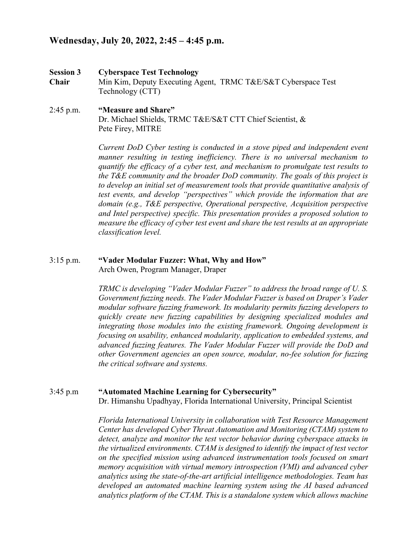# **Wednesday, July 20, 2022, 2:45 – 4:45 p.m.**

- **Session 3 Cyberspace Test Technology Chair** Min Kim, Deputy Executing Agent, TRMC T&E/S&T Cyberspace Test Technology (CTT)
- 2:45 p.m. **"Measure and Share"** Dr. Michael Shields, TRMC T&E/S&T CTT Chief Scientist, & Pete Firey, MITRE

*Current DoD Cyber testing is conducted in a stove piped and independent event manner resulting in testing inefficiency. There is no universal mechanism to quantify the efficacy of a cyber test, and mechanism to promulgate test results to the T&E community and the broader DoD community. The goals of this project is to develop an initial set of measurement tools that provide quantitative analysis of test events, and develop "perspectives" which provide the information that are domain (e.g., T&E perspective, Operational perspective, Acquisition perspective and Intel perspective) specific. This presentation provides a proposed solution to measure the efficacy of cyber test event and share the test results at an appropriate classification level.*

#### 3:15 p.m. **"Vader Modular Fuzzer: What, Why and How"** Arch Owen, Program Manager, Draper

*TRMC is developing "Vader Modular Fuzzer" to address the broad range of U. S. Government fuzzing needs. The Vader Modular Fuzzer is based on Draper's Vader modular software fuzzing framework. Its modularity permits fuzzing developers to quickly create new fuzzing capabilities by designing specialized modules and integrating those modules into the existing framework. Ongoing development is focusing on usability, enhanced modularity, application to embedded systems, and advanced fuzzing features. The Vader Modular Fuzzer will provide the DoD and other Government agencies an open source, modular, no-fee solution for fuzzing the critical software and systems.*

3:45 p.m **"Automated Machine Learning for Cybersecurity"** Dr. Himanshu Upadhyay, Florida International University, Principal Scientist

> *Florida International University in collaboration with Test Resource Management Center has developed Cyber Threat Automation and Monitoring (CTAM) system to detect, analyze and monitor the test vector behavior during cyberspace attacks in the virtualized environments. CTAM is designed to identify the impact of test vector on the specified mission using advanced instrumentation tools focused on smart memory acquisition with virtual memory introspection (VMI) and advanced cyber analytics using the state-of-the-art artificial intelligence methodologies. Team has developed an automated machine learning system using the AI based advanced analytics platform of the CTAM. This is a standalone system which allows machine*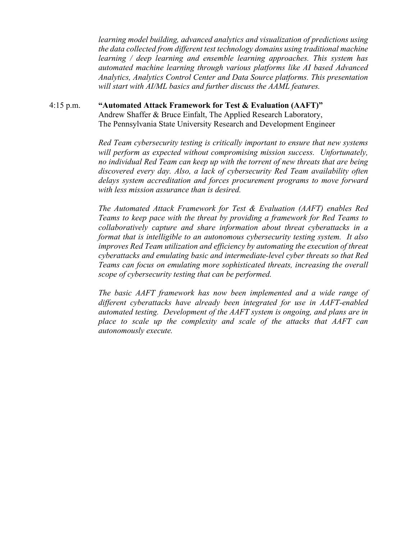*learning model building, advanced analytics and visualization of predictions using the data collected from different test technology domains using traditional machine learning / deep learning and ensemble learning approaches. This system has automated machine learning through various platforms like AI based Advanced Analytics, Analytics Control Center and Data Source platforms. This presentation will start with AI/ML basics and further discuss the AAML features.*

# 4:15 p.m. **"Automated Attack Framework for Test & Evaluation (AAFT)"** Andrew Shaffer & Bruce Einfalt, The Applied Research Laboratory, The Pennsylvania State University Research and Development Engineer

*Red Team cybersecurity testing is critically important to ensure that new systems will perform as expected without compromising mission success. Unfortunately, no individual Red Team can keep up with the torrent of new threats that are being discovered every day. Also, a lack of cybersecurity Red Team availability often delays system accreditation and forces procurement programs to move forward with less mission assurance than is desired.*

*The Automated Attack Framework for Test & Evaluation (AAFT) enables Red Teams to keep pace with the threat by providing a framework for Red Teams to collaboratively capture and share information about threat cyberattacks in a format that is intelligible to an autonomous cybersecurity testing system. It also improves Red Team utilization and efficiency by automating the execution of threat cyberattacks and emulating basic and intermediate-level cyber threats so that Red Teams can focus on emulating more sophisticated threats, increasing the overall scope of cybersecurity testing that can be performed.*

*The basic AAFT framework has now been implemented and a wide range of different cyberattacks have already been integrated for use in AAFT-enabled automated testing. Development of the AAFT system is ongoing, and plans are in place to scale up the complexity and scale of the attacks that AAFT can autonomously execute.*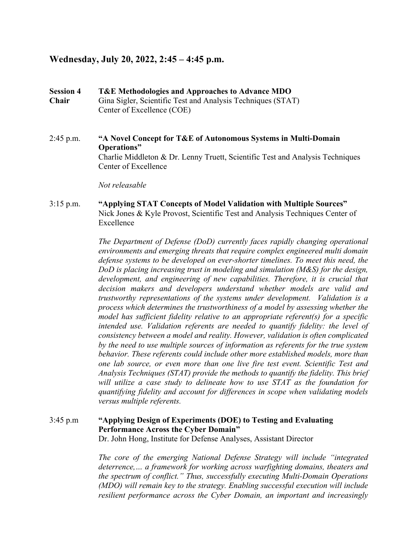# **Wednesday, July 20, 2022, 2:45 – 4:45 p.m.**

**Session 4 T&E Methodologies and Approaches to Advance MDO Chair** Gina Sigler, Scientific Test and Analysis Techniques (STAT) Center of Excellence (COE)

# 2:45 p.m. **"A Novel Concept for T&E of Autonomous Systems in Multi-Domain Operations"** Charlie Middleton & Dr. Lenny Truett, Scientific Test and Analysis Techniques Center of Excellence

*Not releasable*

# 3:15 p.m. **"Applying STAT Concepts of Model Validation with Multiple Sources"** Nick Jones & Kyle Provost, Scientific Test and Analysis Techniques Center of Excellence

*The Department of Defense (DoD) currently faces rapidly changing operational environments and emerging threats that require complex engineered multi domain defense systems to be developed on ever-shorter timelines. To meet this need, the DoD is placing increasing trust in modeling and simulation (M&S) for the design, development, and engineering of new capabilities. Therefore, it is crucial that decision makers and developers understand whether models are valid and trustworthy representations of the systems under development. Validation is a process which determines the trustworthiness of a model by assessing whether the model has sufficient fidelity relative to an appropriate referent(s) for a specific intended use. Validation referents are needed to quantify fidelity: the level of consistency between a model and reality. However, validation is often complicated by the need to use multiple sources of information as referents for the true system behavior. These referents could include other more established models, more than one lab source, or even more than one live fire test event. Scientific Test and Analysis Techniques (STAT) provide the methods to quantify the fidelity. This brief will utilize a case study to delineate how to use STAT as the foundation for quantifying fidelity and account for differences in scope when validating models versus multiple referents.*

# 3:45 p.m **"Applying Design of Experiments (DOE) to Testing and Evaluating Performance Across the Cyber Domain"**

Dr. John Hong, Institute for Defense Analyses, Assistant Director

*The core of the emerging National Defense Strategy will include "integrated deterrence,… a framework for working across warfighting domains, theaters and the spectrum of conflict." Thus, successfully executing Multi-Domain Operations (MDO) will remain key to the strategy. Enabling successful execution will include resilient performance across the Cyber Domain, an important and increasingly*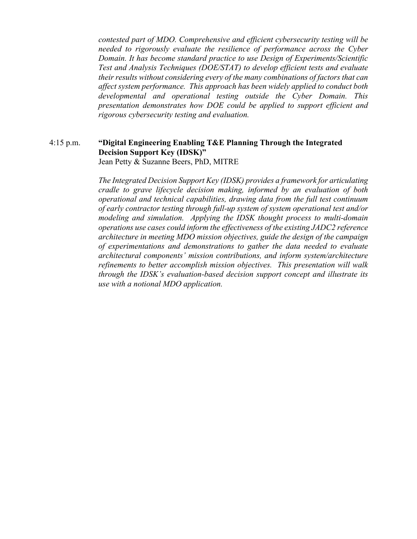*contested part of MDO. Comprehensive and efficient cybersecurity testing will be needed to rigorously evaluate the resilience of performance across the Cyber Domain. It has become standard practice to use Design of Experiments/Scientific Test and Analysis Techniques (DOE/STAT) to develop efficient tests and evaluate their results without considering every of the many combinations of factors that can affect system performance. This approach has been widely applied to conduct both developmental and operational testing outside the Cyber Domain. This presentation demonstrates how DOE could be applied to support efficient and rigorous cybersecurity testing and evaluation.*

#### 4:15 p.m. **"Digital Engineering Enabling T&E Planning Through the Integrated Decision Support Key (IDSK)"** Jean Petty & Suzanne Beers, PhD, MITRE

*The Integrated Decision Support Key (IDSK) provides a framework for articulating cradle to grave lifecycle decision making, informed by an evaluation of both operational and technical capabilities, drawing data from the full test continuum of early contractor testing through full-up system of system operational test and/or modeling and simulation. Applying the IDSK thought process to multi-domain operations use cases could inform the effectiveness of the existing JADC2 reference architecture in meeting MDO mission objectives, guide the design of the campaign of experimentations and demonstrations to gather the data needed to evaluate architectural components' mission contributions, and inform system/architecture refinements to better accomplish mission objectives. This presentation will walk through the IDSK's evaluation-based decision support concept and illustrate its use with a notional MDO application.*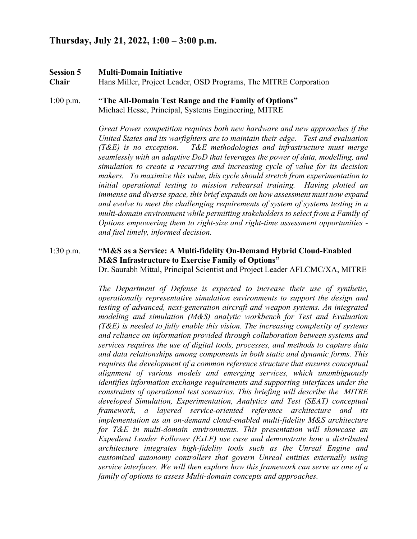# **Thursday, July 21, 2022, 1:00 – 3:00 p.m.**

# **Session 5 Multi-Domain Initiative**

**Chair** Hans Miller, Project Leader, OSD Programs, The MITRE Corporation

# 1:00 p.m. **"The All-Domain Test Range and the Family of Options"** Michael Hesse, Principal, Systems Engineering, MITRE

*Great Power competition requires both new hardware and new approaches if the United States and its warfighters are to maintain their edge. Test and evaluation (T&E) is no exception. T&E methodologies and infrastructure must merge seamlessly with an adaptive DoD that leverages the power of data, modelling, and simulation to create a recurring and increasing cycle of value for its decision makers. To maximize this value, this cycle should stretch from experimentation to initial operational testing to mission rehearsal training. Having plotted an immense and diverse space, this brief expands on how assessment must now expand and evolve to meet the challenging requirements of system of systems testing in a multi-domain environment while permitting stakeholders to select from a Family of Options empowering them to right-size and right-time assessment opportunities and fuel timely, informed decision.*

## 1:30 p.m. **"M&S as a Service: A Multi-fidelity On-Demand Hybrid Cloud-Enabled M&S Infrastructure to Exercise Family of Options"** Dr. Saurabh Mittal, Principal Scientist and Project Leader AFLCMC/XA, MITRE

*The Department of Defense is expected to increase their use of synthetic, operationally representative simulation environments to support the design and testing of advanced, next-generation aircraft and weapon systems. An integrated modeling and simulation (M&S) analytic workbench for Test and Evaluation (T&E) is needed to fully enable this vision. The increasing complexity of systems and reliance on information provided through collaboration between systems and services requires the use of digital tools, processes, and methods to capture data and data relationships among components in both static and dynamic forms. This requires the development of a common reference structure that ensures conceptual alignment of various models and emerging services, which unambiguously identifies information exchange requirements and supporting interfaces under the constraints of operational test scenarios. This briefing will describe the MITRE developed Simulation, Experimentation, Analytics and Test (SEAT) conceptual framework, a layered service-oriented reference architecture and its implementation as an on-demand cloud-enabled multi-fidelity M&S architecture for T&E in multi-domain environments. This presentation will showcase an Expedient Leader Follower (ExLF) use case and demonstrate how a distributed architecture integrates high-fidelity tools such as the Unreal Engine and customized autonomy controllers that govern Unreal entities externally using service interfaces. We will then explore how this framework can serve as one of a family of options to assess Multi-domain concepts and approaches.*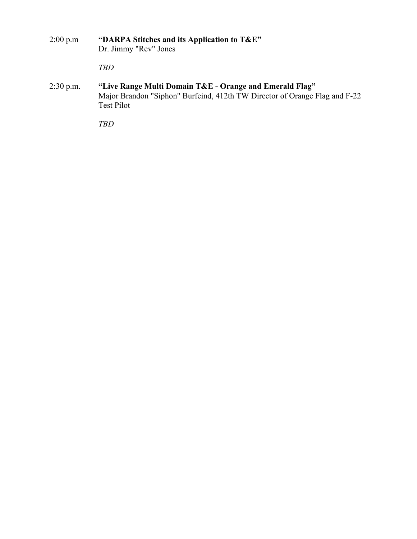- 2:00 p.m **"DARPA Stitches and its Application to T&E"** Dr. Jimmy "Rev" Jones *TBD*
- 2:30 p.m. **"Live Range Multi Domain T&E - Orange and Emerald Flag"** Major Brandon "Siphon" Burfeind, 412th TW Director of Orange Flag and F-22 Test Pilot

*TBD*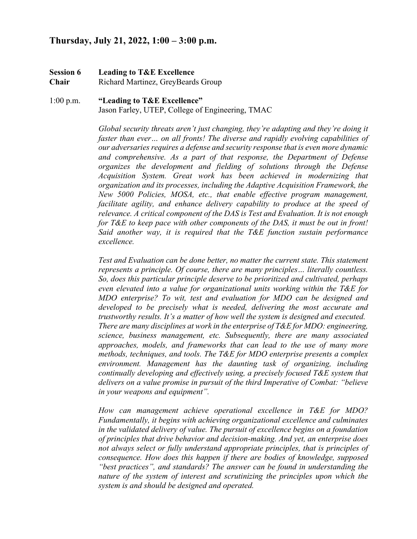# **Thursday, July 21, 2022, 1:00 – 3:00 p.m.**

**Session 6 Leading to T&E Excellence Chair** Richard Martinez, GreyBeards Group

1:00 p.m. **"Leading to T&E Excellence"** Jason Farley, UTEP, College of Engineering, TMAC

> *Global security threats aren't just changing, they're adapting and they're doing it faster than ever… on all fronts! The diverse and rapidly evolving capabilities of our adversaries requires a defense and security response that is even more dynamic and comprehensive. As a part of that response, the Department of Defense organizes the development and fielding of solutions through the Defense Acquisition System. Great work has been achieved in modernizing that organization and its processes, including the Adaptive Acquisition Framework, the New 5000 Policies, MOSA, etc., that enable effective program management, facilitate agility, and enhance delivery capability to produce at the speed of relevance. A critical component of the DAS is Test and Evaluation. It is not enough for T&E to keep pace with other components of the DAS, it must be out in front! Said another way, it is required that the T&E function sustain performance excellence.*

> *Test and Evaluation can be done better, no matter the current state. This statement represents a principle. Of course, there are many principles… literally countless. So, does this particular principle deserve to be prioritized and cultivated, perhaps even elevated into a value for organizational units working within the T&E for MDO enterprise? To wit, test and evaluation for MDO can be designed and developed to be precisely what is needed, delivering the most accurate and trustworthy results. It's a matter of how well the system is designed and executed. There are many disciplines at work in the enterprise of T&E for MDO: engineering, science, business management, etc. Subsequently, there are many associated approaches, models, and frameworks that can lead to the use of many more methods, techniques, and tools. The T&E for MDO enterprise presents a complex environment. Management has the daunting task of organizing, including continually developing and effectively using, a precisely focused T&E system that delivers on a value promise in pursuit of the third Imperative of Combat: "believe in your weapons and equipment".*

> *How can management achieve operational excellence in T&E for MDO? Fundamentally, it begins with achieving organizational excellence and culminates in the validated delivery of value. The pursuit of excellence begins on a foundation of principles that drive behavior and decision-making. And yet, an enterprise does not always select or fully understand appropriate principles, that is principles of consequence. How does this happen if there are bodies of knowledge, supposed "best practices", and standards? The answer can be found in understanding the nature of the system of interest and scrutinizing the principles upon which the system is and should be designed and operated.*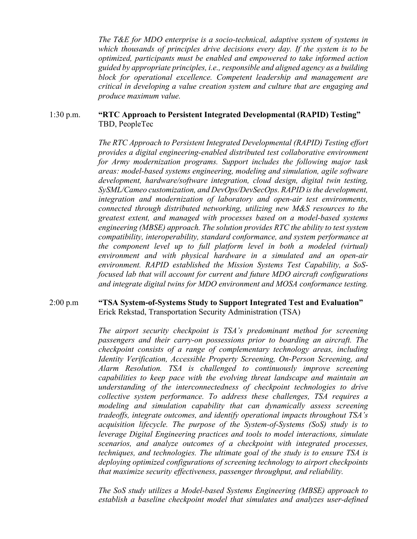*The T&E for MDO enterprise is a socio-technical, adaptive system of systems in which thousands of principles drive decisions every day. If the system is to be optimized, participants must be enabled and empowered to take informed action guided by appropriate principles, i.e., responsible and aligned agency as a building block for operational excellence. Competent leadership and management are critical in developing a value creation system and culture that are engaging and produce maximum value.*

#### 1:30 p.m. **"RTC Approach to Persistent Integrated Developmental (RAPID) Testing"** TBD, PeopleTec

*The RTC Approach to Persistent Integrated Developmental (RAPID) Testing effort provides a digital engineering-enabled distributed test collaborative environment for Army modernization programs. Support includes the following major task areas: model-based systems engineering, modeling and simulation, agile software development, hardware/software integration, cloud design, digital twin testing, SySML/Cameo customization, and DevOps/DevSecOps. RAPID is the development, integration and modernization of laboratory and open-air test environments, connected through distributed networking, utilizing new M&S resources to the greatest extent, and managed with processes based on a model-based systems engineering (MBSE) approach. The solution provides RTC the ability to test system compatibility, interoperability, standard conformance, and system performance at the component level up to full platform level in both a modeled (virtual) environment and with physical hardware in a simulated and an open-air environment. RAPID established the Mission Systems Test Capability, a SoSfocused lab that will account for current and future MDO aircraft configurations and integrate digital twins for MDO environment and MOSA conformance testing.*

#### 2:00 p.m **"TSA System-of-Systems Study to Support Integrated Test and Evaluation"** Erick Rekstad, Transportation Security Administration (TSA)

*The airport security checkpoint is TSA's predominant method for screening passengers and their carry-on possessions prior to boarding an aircraft. The checkpoint consists of a range of complementary technology areas, including Identity Verification, Accessible Property Screening, On-Person Screening, and Alarm Resolution. TSA is challenged to continuously improve screening capabilities to keep pace with the evolving threat landscape and maintain an understanding of the interconnectedness of checkpoint technologies to drive collective system performance. To address these challenges, TSA requires a modeling and simulation capability that can dynamically assess screening tradeoffs, integrate outcomes, and identify operational impacts throughout TSA's acquisition lifecycle. The purpose of the System-of-Systems (SoS) study is to leverage Digital Engineering practices and tools to model interactions, simulate scenarios, and analyze outcomes of a checkpoint with integrated processes, techniques, and technologies. The ultimate goal of the study is to ensure TSA is deploying optimized configurations of screening technology to airport checkpoints that maximize security effectiveness, passenger throughput, and reliability.* 

*The SoS study utilizes a Model-based Systems Engineering (MBSE) approach to establish a baseline checkpoint model that simulates and analyzes user-defined*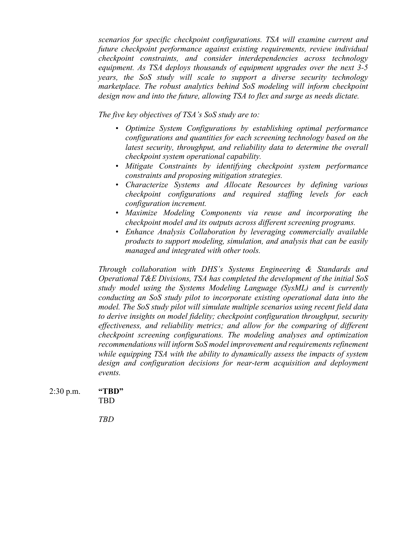*scenarios for specific checkpoint configurations. TSA will examine current and future checkpoint performance against existing requirements, review individual checkpoint constraints, and consider interdependencies across technology equipment. As TSA deploys thousands of equipment upgrades over the next 3-5 years, the SoS study will scale to support a diverse security technology marketplace. The robust analytics behind SoS modeling will inform checkpoint design now and into the future, allowing TSA to flex and surge as needs dictate.* 

*The five key objectives of TSA's SoS study are to:*

- *Optimize System Configurations by establishing optimal performance configurations and quantities for each screening technology based on the latest security, throughput, and reliability data to determine the overall checkpoint system operational capability.*
- *Mitigate Constraints by identifying checkpoint system performance constraints and proposing mitigation strategies.*
- *Characterize Systems and Allocate Resources by defining various checkpoint configurations and required staffing levels for each configuration increment.*
- *Maximize Modeling Components via reuse and incorporating the checkpoint model and its outputs across different screening programs.*
- *Enhance Analysis Collaboration by leveraging commercially available products to support modeling, simulation, and analysis that can be easily managed and integrated with other tools.*

*Through collaboration with DHS's Systems Engineering & Standards and Operational T&E Divisions, TSA has completed the development of the initial SoS study model using the Systems Modeling Language (SysML) and is currently conducting an SoS study pilot to incorporate existing operational data into the model. The SoS study pilot will simulate multiple scenarios using recent field data to derive insights on model fidelity; checkpoint configuration throughput, security effectiveness, and reliability metrics; and allow for the comparing of different checkpoint screening configurations. The modeling analyses and optimization recommendations will inform SoS model improvement and requirements refinement while equipping TSA with the ability to dynamically assess the impacts of system*  design and configuration decisions for near-term acquisition and deployment *events.*

2:30 p.m. **"TBD"** TBD

*TBD*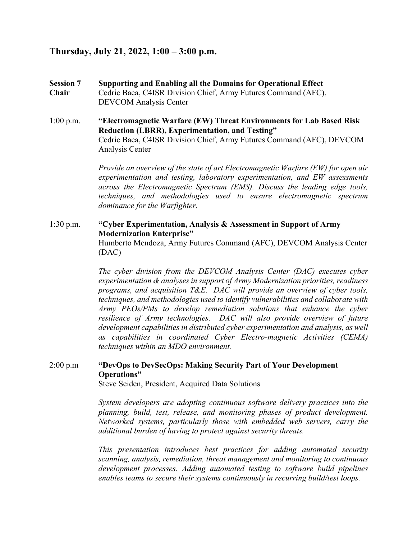# **Thursday, July 21, 2022, 1:00 – 3:00 p.m.**

- **Session 7 Supporting and Enabling all the Domains for Operational Effect Chair** Cedric Baca, C4ISR Division Chief, Army Futures Command (AFC), DEVCOM Analysis Center
- 1:00 p.m. **"Electromagnetic Warfare (EW) Threat Environments for Lab Based Risk Reduction (LBRR), Experimentation, and Testing"** Cedric Baca, C4ISR Division Chief, Army Futures Command (AFC), DEVCOM Analysis Center

*Provide an overview of the state of art Electromagnetic Warfare (EW) for open air experimentation and testing, laboratory experimentation, and EW assessments across the Electromagnetic Spectrum (EMS). Discuss the leading edge tools, techniques, and methodologies used to ensure electromagnetic spectrum dominance for the Warfighter.*

## 1:30 p.m. **"Cyber Experimentation, Analysis & Assessment in Support of Army Modernization Enterprise"** Humberto Mendoza, Army Futures Command (AFC), DEVCOM Analysis Center (DAC)

*The cyber division from the DEVCOM Analysis Center (DAC) executes cyber experimentation & analyses in support of Army Modernization priorities, readiness programs, and acquisition T&E. DAC will provide an overview of cyber tools, techniques, and methodologies used to identify vulnerabilities and collaborate with Army PEOs/PMs to develop remediation solutions that enhance the cyber resilience of Army technologies. DAC will also provide overview of future development capabilities in distributed cyber experimentation and analysis, as well as capabilities in coordinated Cyber Electro-magnetic Activities (CEMA) techniques within an MDO environment.*

# 2:00 p.m **"DevOps to DevSecOps: Making Security Part of Your Development Operations"**

Steve Seiden, President, Acquired Data Solutions

*System developers are adopting continuous software delivery practices into the planning, build, test, release, and monitoring phases of product development. Networked systems, particularly those with embedded web servers, carry the additional burden of having to protect against security threats.* 

*This presentation introduces best practices for adding automated security scanning, analysis, remediation, threat management and monitoring to continuous development processes. Adding automated testing to software build pipelines enables teams to secure their systems continuously in recurring build/test loops.*